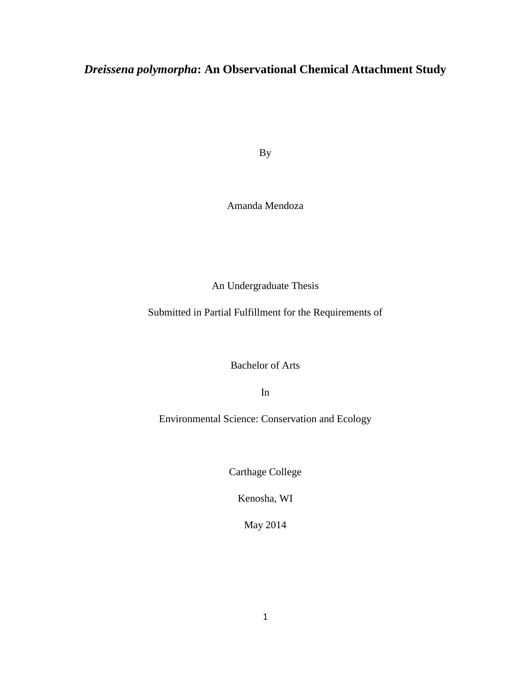# *Dreissena polymorpha***: An Observational Chemical Attachment Study**

By

# Amanda Mendoza

An Undergraduate Thesis

Submitted in Partial Fulfillment for the Requirements of

Bachelor of Arts

In

Environmental Science: Conservation and Ecology

Carthage College

Kenosha, WI

May 2014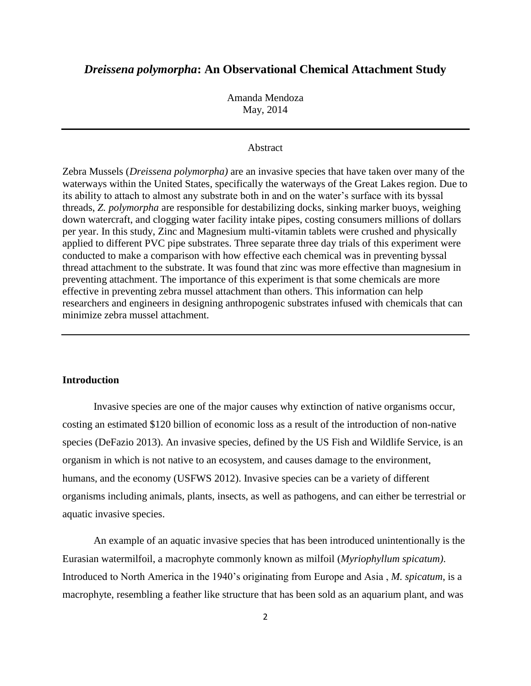# *Dreissena polymorpha***: An Observational Chemical Attachment Study**

Amanda Mendoza May, 2014

#### Abstract

Zebra Mussels (*Dreissena polymorpha)* are an invasive species that have taken over many of the waterways within the United States, specifically the waterways of the Great Lakes region. Due to its ability to attach to almost any substrate both in and on the water's surface with its byssal threads, *Z. polymorpha* are responsible for destabilizing docks, sinking marker buoys, weighing down watercraft, and clogging water facility intake pipes, costing consumers millions of dollars per year. In this study, Zinc and Magnesium multi-vitamin tablets were crushed and physically applied to different PVC pipe substrates. Three separate three day trials of this experiment were conducted to make a comparison with how effective each chemical was in preventing byssal thread attachment to the substrate. It was found that zinc was more effective than magnesium in preventing attachment. The importance of this experiment is that some chemicals are more effective in preventing zebra mussel attachment than others. This information can help researchers and engineers in designing anthropogenic substrates infused with chemicals that can minimize zebra mussel attachment.

#### **Introduction**

Invasive species are one of the major causes why extinction of native organisms occur, costing an estimated \$120 billion of economic loss as a result of the introduction of non-native species (DeFazio 2013). An invasive species, defined by the US Fish and Wildlife Service, is an organism in which is not native to an ecosystem, and causes damage to the environment, humans, and the economy (USFWS 2012). Invasive species can be a variety of different organisms including animals, plants, insects, as well as pathogens, and can either be terrestrial or aquatic invasive species.

An example of an aquatic invasive species that has been introduced unintentionally is the Eurasian watermilfoil, a macrophyte commonly known as milfoil (*Myriophyllum spicatum)*. Introduced to North America in the 1940's originating from Europe and Asia , *M. spicatum*, is a macrophyte, resembling a feather like structure that has been sold as an aquarium plant, and was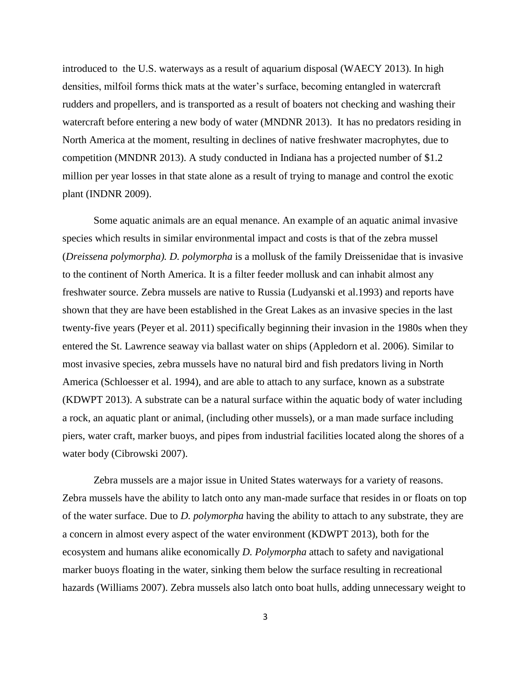introduced to the U.S. waterways as a result of aquarium disposal (WAECY 2013). In high densities, milfoil forms thick mats at the water's surface, becoming entangled in watercraft rudders and propellers, and is transported as a result of boaters not checking and washing their watercraft before entering a new body of water (MNDNR 2013). It has no predators residing in North America at the moment, resulting in declines of native freshwater macrophytes, due to competition (MNDNR 2013). A study conducted in Indiana has a projected number of \$1.2 million per year losses in that state alone as a result of trying to manage and control the exotic plant (INDNR 2009).

Some aquatic animals are an equal menance. An example of an aquatic animal invasive species which results in similar environmental impact and costs is that of the zebra mussel (*Dreissena polymorpha). D. polymorpha* is a mollusk of the family Dreissenidae that is invasive to the continent of North America. It is a filter feeder mollusk and can inhabit almost any freshwater source. Zebra mussels are native to Russia (Ludyanski et al.1993) and reports have shown that they are have been established in the Great Lakes as an invasive species in the last twenty-five years (Peyer et al. 2011) specifically beginning their invasion in the 1980s when they entered the St. Lawrence seaway via ballast water on ships (Appledorn et al. 2006). Similar to most invasive species, zebra mussels have no natural bird and fish predators living in North America (Schloesser et al. 1994), and are able to attach to any surface, known as a substrate (KDWPT 2013). A substrate can be a natural surface within the aquatic body of water including a rock, an aquatic plant or animal, (including other mussels), or a man made surface including piers, water craft, marker buoys, and pipes from industrial facilities located along the shores of a water body (Cibrowski 2007).

Zebra mussels are a major issue in United States waterways for a variety of reasons. Zebra mussels have the ability to latch onto any man-made surface that resides in or floats on top of the water surface. Due to *D. polymorpha* having the ability to attach to any substrate, they are a concern in almost every aspect of the water environment (KDWPT 2013), both for the ecosystem and humans alike economically *D. Polymorpha* attach to safety and navigational marker buoys floating in the water, sinking them below the surface resulting in recreational hazards (Williams 2007). Zebra mussels also latch onto boat hulls, adding unnecessary weight to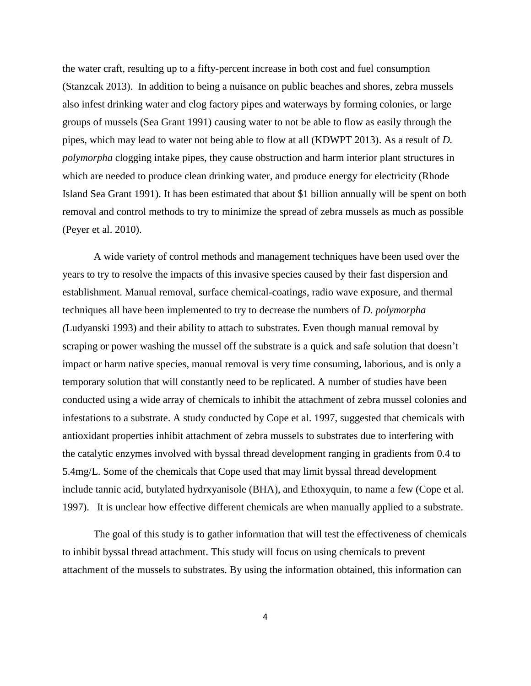the water craft, resulting up to a fifty-percent increase in both cost and fuel consumption (Stanzcak 2013). In addition to being a nuisance on public beaches and shores, zebra mussels also infest drinking water and clog factory pipes and waterways by forming colonies, or large groups of mussels (Sea Grant 1991) causing water to not be able to flow as easily through the pipes, which may lead to water not being able to flow at all (KDWPT 2013). As a result of *D. polymorpha* clogging intake pipes, they cause obstruction and harm interior plant structures in which are needed to produce clean drinking water, and produce energy for electricity (Rhode Island Sea Grant 1991). It has been estimated that about \$1 billion annually will be spent on both removal and control methods to try to minimize the spread of zebra mussels as much as possible (Peyer et al. 2010).

A wide variety of control methods and management techniques have been used over the years to try to resolve the impacts of this invasive species caused by their fast dispersion and establishment. Manual removal, surface chemical-coatings, radio wave exposure, and thermal techniques all have been implemented to try to decrease the numbers of *D. polymorpha (*Ludyanski 1993) and their ability to attach to substrates. Even though manual removal by scraping or power washing the mussel off the substrate is a quick and safe solution that doesn't impact or harm native species, manual removal is very time consuming, laborious, and is only a temporary solution that will constantly need to be replicated. A number of studies have been conducted using a wide array of chemicals to inhibit the attachment of zebra mussel colonies and infestations to a substrate. A study conducted by Cope et al. 1997, suggested that chemicals with antioxidant properties inhibit attachment of zebra mussels to substrates due to interfering with the catalytic enzymes involved with byssal thread development ranging in gradients from 0.4 to 5.4mg/L. Some of the chemicals that Cope used that may limit byssal thread development include tannic acid, butylated hydrxyanisole (BHA), and Ethoxyquin, to name a few (Cope et al. 1997). It is unclear how effective different chemicals are when manually applied to a substrate.

The goal of this study is to gather information that will test the effectiveness of chemicals to inhibit byssal thread attachment. This study will focus on using chemicals to prevent attachment of the mussels to substrates. By using the information obtained, this information can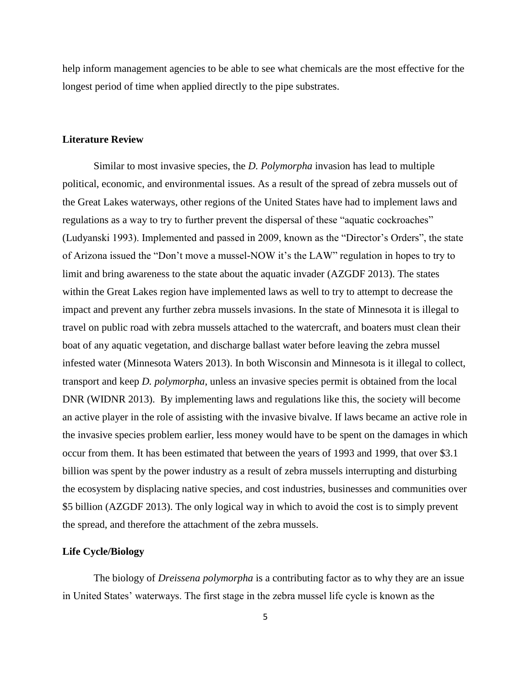help inform management agencies to be able to see what chemicals are the most effective for the longest period of time when applied directly to the pipe substrates.

#### **Literature Review**

Similar to most invasive species, the *D. Polymorpha* invasion has lead to multiple political, economic, and environmental issues. As a result of the spread of zebra mussels out of the Great Lakes waterways, other regions of the United States have had to implement laws and regulations as a way to try to further prevent the dispersal of these "aquatic cockroaches" (Ludyanski 1993). Implemented and passed in 2009, known as the "Director's Orders", the state of Arizona issued the "Don't move a mussel-NOW it's the LAW" regulation in hopes to try to limit and bring awareness to the state about the aquatic invader (AZGDF 2013). The states within the Great Lakes region have implemented laws as well to try to attempt to decrease the impact and prevent any further zebra mussels invasions. In the state of Minnesota it is illegal to travel on public road with zebra mussels attached to the watercraft, and boaters must clean their boat of any aquatic vegetation, and discharge ballast water before leaving the zebra mussel infested water (Minnesota Waters 2013). In both Wisconsin and Minnesota is it illegal to collect, transport and keep *D. polymorpha*, unless an invasive species permit is obtained from the local DNR (WIDNR 2013). By implementing laws and regulations like this, the society will become an active player in the role of assisting with the invasive bivalve. If laws became an active role in the invasive species problem earlier, less money would have to be spent on the damages in which occur from them. It has been estimated that between the years of 1993 and 1999, that over \$3.1 billion was spent by the power industry as a result of zebra mussels interrupting and disturbing the ecosystem by displacing native species, and cost industries, businesses and communities over \$5 billion (AZGDF 2013). The only logical way in which to avoid the cost is to simply prevent the spread, and therefore the attachment of the zebra mussels.

#### **Life Cycle/Biology**

The biology of *Dreissena polymorpha* is a contributing factor as to why they are an issue in United States' waterways. The first stage in the zebra mussel life cycle is known as the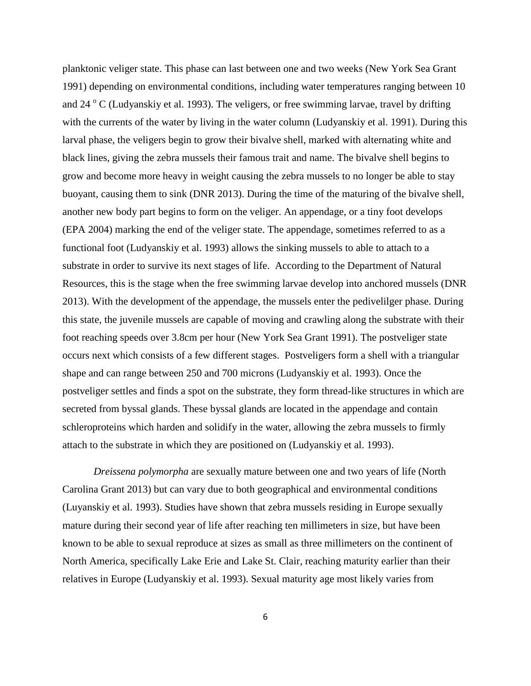planktonic veliger state. This phase can last between one and two weeks (New York Sea Grant 1991) depending on environmental conditions, including water temperatures ranging between 10 and  $24^\circ$  C (Ludyanskiy et al. 1993). The veligers, or free swimming larvae, travel by drifting with the currents of the water by living in the water column (Ludyanskiy et al. 1991). During this larval phase, the veligers begin to grow their bivalve shell, marked with alternating white and black lines, giving the zebra mussels their famous trait and name. The bivalve shell begins to grow and become more heavy in weight causing the zebra mussels to no longer be able to stay buoyant, causing them to sink (DNR 2013). During the time of the maturing of the bivalve shell, another new body part begins to form on the veliger. An appendage, or a tiny foot develops (EPA 2004) marking the end of the veliger state. The appendage, sometimes referred to as a functional foot (Ludyanskiy et al. 1993) allows the sinking mussels to able to attach to a substrate in order to survive its next stages of life. According to the Department of Natural Resources, this is the stage when the free swimming larvae develop into anchored mussels (DNR 2013). With the development of the appendage, the mussels enter the pedivelilger phase. During this state, the juvenile mussels are capable of moving and crawling along the substrate with their foot reaching speeds over 3.8cm per hour (New York Sea Grant 1991). The postveliger state occurs next which consists of a few different stages. Postveligers form a shell with a triangular shape and can range between 250 and 700 microns (Ludyanskiy et al. 1993). Once the postveliger settles and finds a spot on the substrate, they form thread-like structures in which are secreted from byssal glands. These byssal glands are located in the appendage and contain schleroproteins which harden and solidify in the water, allowing the zebra mussels to firmly attach to the substrate in which they are positioned on (Ludyanskiy et al. 1993).

*Dreissena polymorpha* are sexually mature between one and two years of life (North Carolina Grant 2013) but can vary due to both geographical and environmental conditions (Luyanskiy et al. 1993). Studies have shown that zebra mussels residing in Europe sexually mature during their second year of life after reaching ten millimeters in size, but have been known to be able to sexual reproduce at sizes as small as three millimeters on the continent of North America, specifically Lake Erie and Lake St. Clair, reaching maturity earlier than their relatives in Europe (Ludyanskiy et al. 1993). Sexual maturity age most likely varies from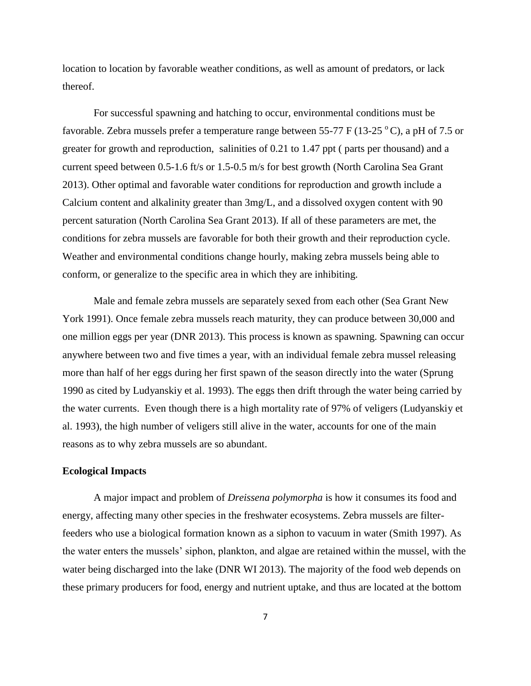location to location by favorable weather conditions, as well as amount of predators, or lack thereof.

For successful spawning and hatching to occur, environmental conditions must be favorable. Zebra mussels prefer a temperature range between 55-77 F (13-25  $\rm{^{\circ}C}$ ), a pH of 7.5 or greater for growth and reproduction, salinities of 0.21 to 1.47 ppt ( parts per thousand) and a current speed between 0.5-1.6 ft/s or 1.5-0.5 m/s for best growth (North Carolina Sea Grant 2013). Other optimal and favorable water conditions for reproduction and growth include a Calcium content and alkalinity greater than 3mg/L, and a dissolved oxygen content with 90 percent saturation (North Carolina Sea Grant 2013). If all of these parameters are met, the conditions for zebra mussels are favorable for both their growth and their reproduction cycle. Weather and environmental conditions change hourly, making zebra mussels being able to conform, or generalize to the specific area in which they are inhibiting.

Male and female zebra mussels are separately sexed from each other (Sea Grant New York 1991). Once female zebra mussels reach maturity, they can produce between 30,000 and one million eggs per year (DNR 2013). This process is known as spawning. Spawning can occur anywhere between two and five times a year, with an individual female zebra mussel releasing more than half of her eggs during her first spawn of the season directly into the water (Sprung 1990 as cited by Ludyanskiy et al. 1993). The eggs then drift through the water being carried by the water currents. Even though there is a high mortality rate of 97% of veligers (Ludyanskiy et al. 1993), the high number of veligers still alive in the water, accounts for one of the main reasons as to why zebra mussels are so abundant.

#### **Ecological Impacts**

A major impact and problem of *Dreissena polymorpha* is how it consumes its food and energy, affecting many other species in the freshwater ecosystems. Zebra mussels are filterfeeders who use a biological formation known as a siphon to vacuum in water (Smith 1997). As the water enters the mussels' siphon, plankton, and algae are retained within the mussel, with the water being discharged into the lake (DNR WI 2013). The majority of the food web depends on these primary producers for food, energy and nutrient uptake, and thus are located at the bottom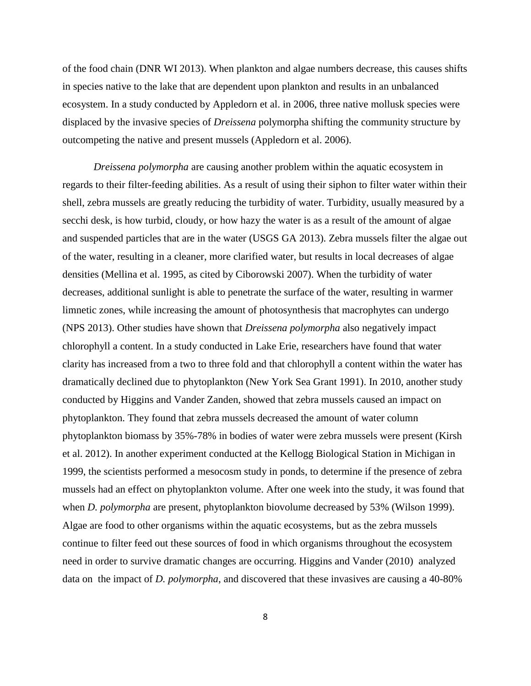of the food chain (DNR WI 2013). When plankton and algae numbers decrease, this causes shifts in species native to the lake that are dependent upon plankton and results in an unbalanced ecosystem. In a study conducted by Appledorn et al. in 2006, three native mollusk species were displaced by the invasive species of *Dreissena* polymorpha shifting the community structure by outcompeting the native and present mussels (Appledorn et al. 2006).

*Dreissena polymorpha* are causing another problem within the aquatic ecosystem in regards to their filter-feeding abilities. As a result of using their siphon to filter water within their shell, zebra mussels are greatly reducing the turbidity of water. Turbidity, usually measured by a secchi desk, is how turbid, cloudy, or how hazy the water is as a result of the amount of algae and suspended particles that are in the water (USGS GA 2013). Zebra mussels filter the algae out of the water, resulting in a cleaner, more clarified water, but results in local decreases of algae densities (Mellina et al. 1995, as cited by Ciborowski 2007). When the turbidity of water decreases, additional sunlight is able to penetrate the surface of the water, resulting in warmer limnetic zones, while increasing the amount of photosynthesis that macrophytes can undergo (NPS 2013). Other studies have shown that *Dreissena polymorpha* also negatively impact chlorophyll a content. In a study conducted in Lake Erie, researchers have found that water clarity has increased from a two to three fold and that chlorophyll a content within the water has dramatically declined due to phytoplankton (New York Sea Grant 1991). In 2010, another study conducted by Higgins and Vander Zanden, showed that zebra mussels caused an impact on phytoplankton. They found that zebra mussels decreased the amount of water column phytoplankton biomass by 35%-78% in bodies of water were zebra mussels were present (Kirsh et al. 2012). In another experiment conducted at the Kellogg Biological Station in Michigan in 1999, the scientists performed a mesocosm study in ponds, to determine if the presence of zebra mussels had an effect on phytoplankton volume. After one week into the study, it was found that when *D. polymorpha* are present, phytoplankton biovolume decreased by 53% (Wilson 1999). Algae are food to other organisms within the aquatic ecosystems, but as the zebra mussels continue to filter feed out these sources of food in which organisms throughout the ecosystem need in order to survive dramatic changes are occurring. Higgins and Vander (2010) analyzed data on the impact of *D. polymorpha*, and discovered that these invasives are causing a 40-80%

8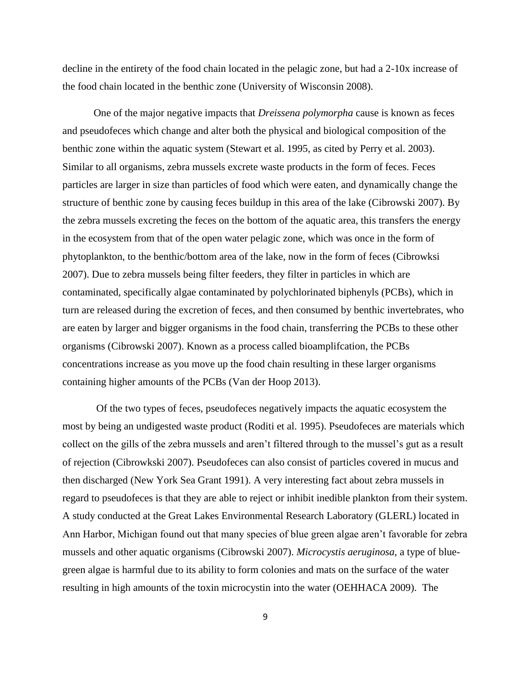decline in the entirety of the food chain located in the pelagic zone, but had a 2-10x increase of the food chain located in the benthic zone (University of Wisconsin 2008).

One of the major negative impacts that *Dreissena polymorpha* cause is known as feces and pseudofeces which change and alter both the physical and biological composition of the benthic zone within the aquatic system (Stewart et al. 1995, as cited by Perry et al. 2003). Similar to all organisms, zebra mussels excrete waste products in the form of feces. Feces particles are larger in size than particles of food which were eaten, and dynamically change the structure of benthic zone by causing feces buildup in this area of the lake (Cibrowski 2007). By the zebra mussels excreting the feces on the bottom of the aquatic area, this transfers the energy in the ecosystem from that of the open water pelagic zone, which was once in the form of phytoplankton, to the benthic/bottom area of the lake, now in the form of feces (Cibrowksi 2007). Due to zebra mussels being filter feeders, they filter in particles in which are contaminated, specifically algae contaminated by polychlorinated biphenyls (PCBs), which in turn are released during the excretion of feces, and then consumed by benthic invertebrates, who are eaten by larger and bigger organisms in the food chain, transferring the PCBs to these other organisms (Cibrowski 2007). Known as a process called bioamplifcation, the PCBs concentrations increase as you move up the food chain resulting in these larger organisms containing higher amounts of the PCBs (Van der Hoop 2013).

Of the two types of feces, pseudofeces negatively impacts the aquatic ecosystem the most by being an undigested waste product (Roditi et al. 1995). Pseudofeces are materials which collect on the gills of the zebra mussels and aren't filtered through to the mussel's gut as a result of rejection (Cibrowkski 2007). Pseudofeces can also consist of particles covered in mucus and then discharged (New York Sea Grant 1991). A very interesting fact about zebra mussels in regard to pseudofeces is that they are able to reject or inhibit inedible plankton from their system. A study conducted at the Great Lakes Environmental Research Laboratory (GLERL) located in Ann Harbor, Michigan found out that many species of blue green algae aren't favorable for zebra mussels and other aquatic organisms (Cibrowski 2007). *Microcystis aeruginosa,* a type of bluegreen algae is harmful due to its ability to form colonies and mats on the surface of the water resulting in high amounts of the toxin microcystin into the water (OEHHACA 2009). The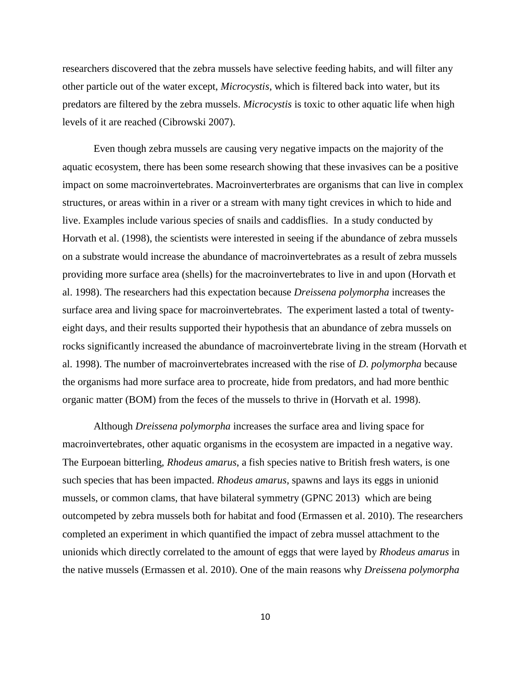researchers discovered that the zebra mussels have selective feeding habits, and will filter any other particle out of the water except, *Microcystis*, which is filtered back into water, but its predators are filtered by the zebra mussels. *Microcystis* is toxic to other aquatic life when high levels of it are reached (Cibrowski 2007).

Even though zebra mussels are causing very negative impacts on the majority of the aquatic ecosystem, there has been some research showing that these invasives can be a positive impact on some macroinvertebrates. Macroinverterbrates are organisms that can live in complex structures, or areas within in a river or a stream with many tight crevices in which to hide and live. Examples include various species of snails and caddisflies. In a study conducted by Horvath et al. (1998), the scientists were interested in seeing if the abundance of zebra mussels on a substrate would increase the abundance of macroinvertebrates as a result of zebra mussels providing more surface area (shells) for the macroinvertebrates to live in and upon (Horvath et al. 1998). The researchers had this expectation because *Dreissena polymorpha* increases the surface area and living space for macroinvertebrates. The experiment lasted a total of twentyeight days, and their results supported their hypothesis that an abundance of zebra mussels on rocks significantly increased the abundance of macroinvertebrate living in the stream (Horvath et al. 1998). The number of macroinvertebrates increased with the rise of *D. polymorpha* because the organisms had more surface area to procreate, hide from predators, and had more benthic organic matter (BOM) from the feces of the mussels to thrive in (Horvath et al. 1998).

Although *Dreissena polymorpha* increases the surface area and living space for macroinvertebrates, other aquatic organisms in the ecosystem are impacted in a negative way. The Eurpoean bitterling, *Rhodeus amarus*, a fish species native to British fresh waters, is one such species that has been impacted. *Rhodeus amarus*, spawns and lays its eggs in unionid mussels, or common clams, that have bilateral symmetry (GPNC 2013) which are being outcompeted by zebra mussels both for habitat and food (Ermassen et al. 2010). The researchers completed an experiment in which quantified the impact of zebra mussel attachment to the unionids which directly correlated to the amount of eggs that were layed by *Rhodeus amarus* in the native mussels (Ermassen et al. 2010). One of the main reasons why *Dreissena polymorpha*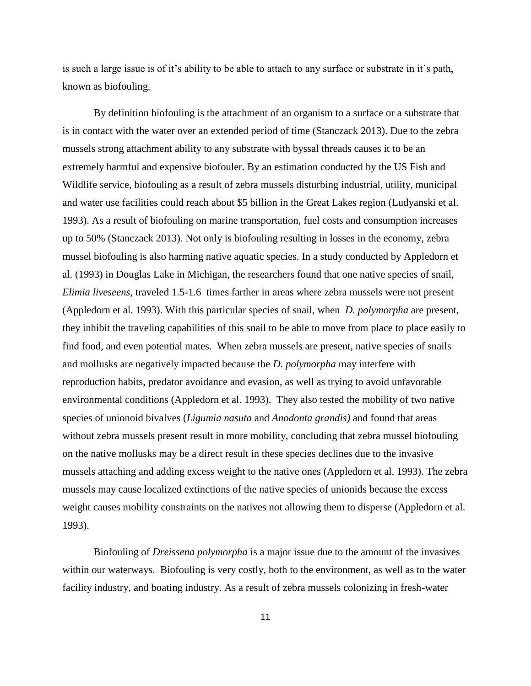is such a large issue is of it's ability to be able to attach to any surface or substrate in it's path, known as biofouling.

By definition biofouling is the attachment of an organism to a surface or a substrate that is in contact with the water over an extended period of time (Stanczack 2013). Due to the zebra mussels strong attachment ability to any substrate with byssal threads causes it to be an extremely harmful and expensive biofouler. By an estimation conducted by the US Fish and Wildlife service, biofouling as a result of zebra mussels disturbing industrial, utility, municipal and water use facilities could reach about \$5 billion in the Great Lakes region (Ludyanski et al. 1993). As a result of biofouling on marine transportation, fuel costs and consumption increases up to 50% (Stanczack 2013). Not only is biofouling resulting in losses in the economy, zebra mussel biofouling is also harming native aquatic species. In a study conducted by Appledorn et al. (1993) in Douglas Lake in Michigan, the researchers found that one native species of snail, *Elimia liveseens*, traveled 1.5-1.6 times farther in areas where zebra mussels were not present (Appledorn et al. 1993). With this particular species of snail, when *D. polymorpha* are present, they inhibit the traveling capabilities of this snail to be able to move from place to place easily to find food, and even potential mates. When zebra mussels are present, native species of snails and mollusks are negatively impacted because the *D. polymorpha* may interfere with reproduction habits, predator avoidance and evasion, as well as trying to avoid unfavorable environmental conditions (Appledorn et al. 1993). They also tested the mobility of two native species of unionoid bivalves (*Ligumia nasuta* and *Anodonta grandis)* and found that areas without zebra mussels present result in more mobility, concluding that zebra mussel biofouling on the native mollusks may be a direct result in these species declines due to the invasive mussels attaching and adding excess weight to the native ones (Appledorn et al. 1993). The zebra mussels may cause localized extinctions of the native species of unionids because the excess weight causes mobility constraints on the natives not allowing them to disperse (Appledorn et al. 1993).

Biofouling of *Dreissena polymorpha* is a major issue due to the amount of the invasives within our waterways. Biofouling is very costly, both to the environment, as well as to the water facility industry, and boating industry. As a result of zebra mussels colonizing in fresh-water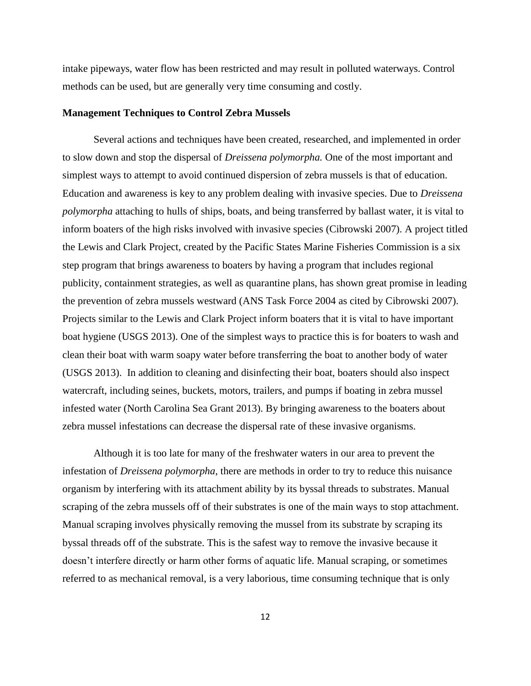intake pipeways, water flow has been restricted and may result in polluted waterways. Control methods can be used, but are generally very time consuming and costly.

#### **Management Techniques to Control Zebra Mussels**

Several actions and techniques have been created, researched, and implemented in order to slow down and stop the dispersal of *Dreissena polymorpha.* One of the most important and simplest ways to attempt to avoid continued dispersion of zebra mussels is that of education. Education and awareness is key to any problem dealing with invasive species. Due to *Dreissena polymorpha* attaching to hulls of ships, boats, and being transferred by ballast water, it is vital to inform boaters of the high risks involved with invasive species (Cibrowski 2007). A project titled the Lewis and Clark Project, created by the Pacific States Marine Fisheries Commission is a six step program that brings awareness to boaters by having a program that includes regional publicity, containment strategies, as well as quarantine plans, has shown great promise in leading the prevention of zebra mussels westward (ANS Task Force 2004 as cited by Cibrowski 2007). Projects similar to the Lewis and Clark Project inform boaters that it is vital to have important boat hygiene (USGS 2013). One of the simplest ways to practice this is for boaters to wash and clean their boat with warm soapy water before transferring the boat to another body of water (USGS 2013). In addition to cleaning and disinfecting their boat, boaters should also inspect watercraft, including seines, buckets, motors, trailers, and pumps if boating in zebra mussel infested water (North Carolina Sea Grant 2013). By bringing awareness to the boaters about zebra mussel infestations can decrease the dispersal rate of these invasive organisms.

Although it is too late for many of the freshwater waters in our area to prevent the infestation of *Dreissena polymorpha*, there are methods in order to try to reduce this nuisance organism by interfering with its attachment ability by its byssal threads to substrates. Manual scraping of the zebra mussels off of their substrates is one of the main ways to stop attachment. Manual scraping involves physically removing the mussel from its substrate by scraping its byssal threads off of the substrate. This is the safest way to remove the invasive because it doesn't interfere directly or harm other forms of aquatic life. Manual scraping, or sometimes referred to as mechanical removal, is a very laborious, time consuming technique that is only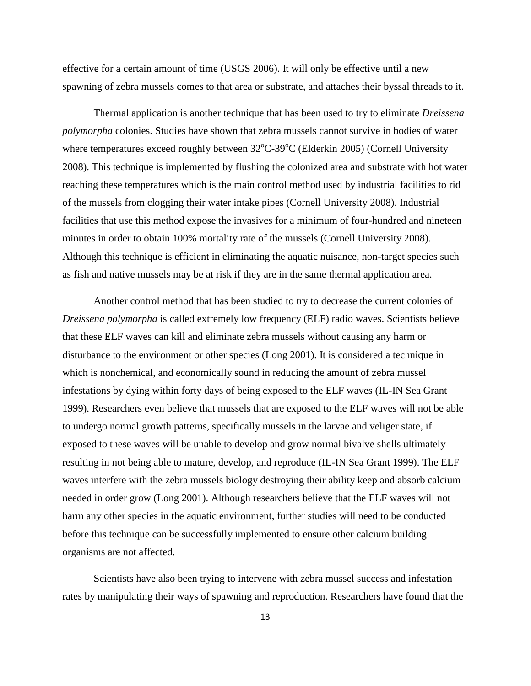effective for a certain amount of time (USGS 2006). It will only be effective until a new spawning of zebra mussels comes to that area or substrate, and attaches their byssal threads to it.

Thermal application is another technique that has been used to try to eliminate *Dreissena polymorpha* colonies. Studies have shown that zebra mussels cannot survive in bodies of water where temperatures exceed roughly between  $32^{\circ}$ C-39°C (Elderkin 2005) (Cornell University 2008). This technique is implemented by flushing the colonized area and substrate with hot water reaching these temperatures which is the main control method used by industrial facilities to rid of the mussels from clogging their water intake pipes (Cornell University 2008). Industrial facilities that use this method expose the invasives for a minimum of four-hundred and nineteen minutes in order to obtain 100% mortality rate of the mussels (Cornell University 2008). Although this technique is efficient in eliminating the aquatic nuisance, non-target species such as fish and native mussels may be at risk if they are in the same thermal application area.

Another control method that has been studied to try to decrease the current colonies of *Dreissena polymorpha* is called extremely low frequency (ELF) radio waves. Scientists believe that these ELF waves can kill and eliminate zebra mussels without causing any harm or disturbance to the environment or other species (Long 2001). It is considered a technique in which is nonchemical, and economically sound in reducing the amount of zebra mussel infestations by dying within forty days of being exposed to the ELF waves (IL-IN Sea Grant 1999). Researchers even believe that mussels that are exposed to the ELF waves will not be able to undergo normal growth patterns, specifically mussels in the larvae and veliger state, if exposed to these waves will be unable to develop and grow normal bivalve shells ultimately resulting in not being able to mature, develop, and reproduce (IL-IN Sea Grant 1999). The ELF waves interfere with the zebra mussels biology destroying their ability keep and absorb calcium needed in order grow (Long 2001). Although researchers believe that the ELF waves will not harm any other species in the aquatic environment, further studies will need to be conducted before this technique can be successfully implemented to ensure other calcium building organisms are not affected.

Scientists have also been trying to intervene with zebra mussel success and infestation rates by manipulating their ways of spawning and reproduction. Researchers have found that the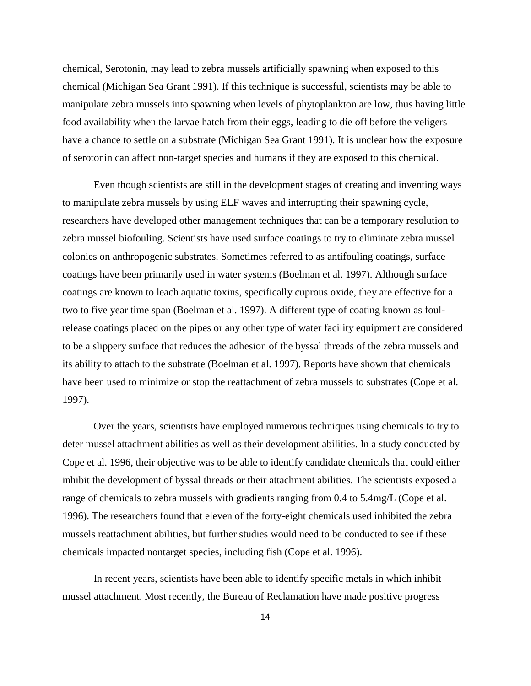chemical, Serotonin, may lead to zebra mussels artificially spawning when exposed to this chemical (Michigan Sea Grant 1991). If this technique is successful, scientists may be able to manipulate zebra mussels into spawning when levels of phytoplankton are low, thus having little food availability when the larvae hatch from their eggs, leading to die off before the veligers have a chance to settle on a substrate (Michigan Sea Grant 1991). It is unclear how the exposure of serotonin can affect non-target species and humans if they are exposed to this chemical.

Even though scientists are still in the development stages of creating and inventing ways to manipulate zebra mussels by using ELF waves and interrupting their spawning cycle, researchers have developed other management techniques that can be a temporary resolution to zebra mussel biofouling. Scientists have used surface coatings to try to eliminate zebra mussel colonies on anthropogenic substrates. Sometimes referred to as antifouling coatings, surface coatings have been primarily used in water systems (Boelman et al. 1997). Although surface coatings are known to leach aquatic toxins, specifically cuprous oxide, they are effective for a two to five year time span (Boelman et al. 1997). A different type of coating known as foulrelease coatings placed on the pipes or any other type of water facility equipment are considered to be a slippery surface that reduces the adhesion of the byssal threads of the zebra mussels and its ability to attach to the substrate (Boelman et al. 1997). Reports have shown that chemicals have been used to minimize or stop the reattachment of zebra mussels to substrates (Cope et al. 1997).

Over the years, scientists have employed numerous techniques using chemicals to try to deter mussel attachment abilities as well as their development abilities. In a study conducted by Cope et al. 1996, their objective was to be able to identify candidate chemicals that could either inhibit the development of byssal threads or their attachment abilities. The scientists exposed a range of chemicals to zebra mussels with gradients ranging from 0.4 to 5.4mg/L (Cope et al. 1996). The researchers found that eleven of the forty-eight chemicals used inhibited the zebra mussels reattachment abilities, but further studies would need to be conducted to see if these chemicals impacted nontarget species, including fish (Cope et al. 1996).

In recent years, scientists have been able to identify specific metals in which inhibit mussel attachment. Most recently, the Bureau of Reclamation have made positive progress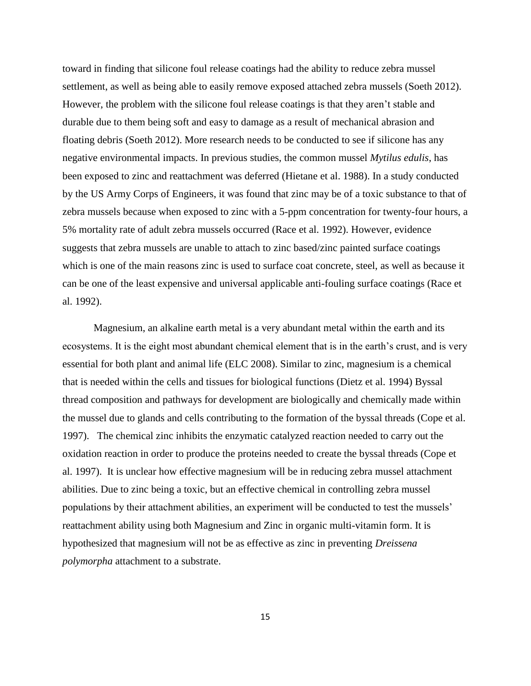toward in finding that silicone foul release coatings had the ability to reduce zebra mussel settlement, as well as being able to easily remove exposed attached zebra mussels (Soeth 2012). However, the problem with the silicone foul release coatings is that they aren't stable and durable due to them being soft and easy to damage as a result of mechanical abrasion and floating debris (Soeth 2012). More research needs to be conducted to see if silicone has any negative environmental impacts. In previous studies, the common mussel *Mytilus edulis*, has been exposed to zinc and reattachment was deferred (Hietane et al. 1988). In a study conducted by the US Army Corps of Engineers, it was found that zinc may be of a toxic substance to that of zebra mussels because when exposed to zinc with a 5-ppm concentration for twenty-four hours, a 5% mortality rate of adult zebra mussels occurred (Race et al. 1992). However, evidence suggests that zebra mussels are unable to attach to zinc based/zinc painted surface coatings which is one of the main reasons zinc is used to surface coat concrete, steel, as well as because it can be one of the least expensive and universal applicable anti-fouling surface coatings (Race et al. 1992).

Magnesium, an alkaline earth metal is a very abundant metal within the earth and its ecosystems. It is the eight most abundant chemical element that is in the earth's crust, and is very essential for both plant and animal life (ELC 2008). Similar to zinc, magnesium is a chemical that is needed within the cells and tissues for biological functions (Dietz et al. 1994) Byssal thread composition and pathways for development are biologically and chemically made within the mussel due to glands and cells contributing to the formation of the byssal threads (Cope et al. 1997). The chemical zinc inhibits the enzymatic catalyzed reaction needed to carry out the oxidation reaction in order to produce the proteins needed to create the byssal threads (Cope et al. 1997). It is unclear how effective magnesium will be in reducing zebra mussel attachment abilities. Due to zinc being a toxic, but an effective chemical in controlling zebra mussel populations by their attachment abilities, an experiment will be conducted to test the mussels' reattachment ability using both Magnesium and Zinc in organic multi-vitamin form. It is hypothesized that magnesium will not be as effective as zinc in preventing *Dreissena polymorpha* attachment to a substrate.

15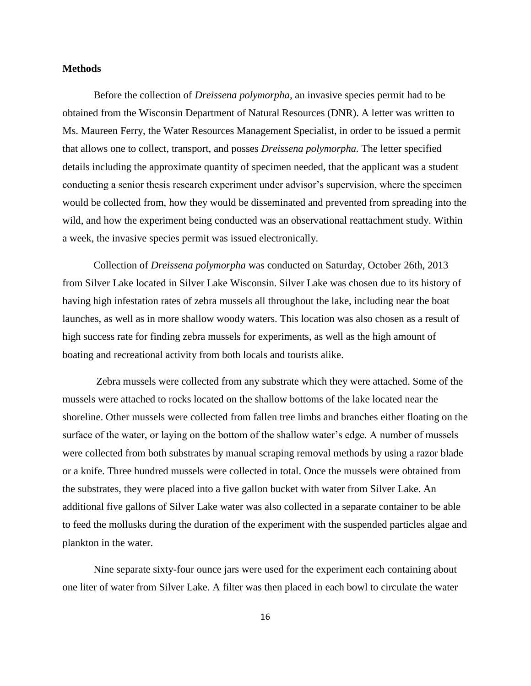#### **Methods**

Before the collection of *Dreissena polymorpha,* an invasive species permit had to be obtained from the Wisconsin Department of Natural Resources (DNR). A letter was written to Ms. Maureen Ferry, the Water Resources Management Specialist, in order to be issued a permit that allows one to collect, transport, and posses *Dreissena polymorpha.* The letter specified details including the approximate quantity of specimen needed, that the applicant was a student conducting a senior thesis research experiment under advisor's supervision, where the specimen would be collected from, how they would be disseminated and prevented from spreading into the wild, and how the experiment being conducted was an observational reattachment study. Within a week, the invasive species permit was issued electronically.

Collection of *Dreissena polymorpha* was conducted on Saturday, October 26th, 2013 from Silver Lake located in Silver Lake Wisconsin. Silver Lake was chosen due to its history of having high infestation rates of zebra mussels all throughout the lake, including near the boat launches, as well as in more shallow woody waters. This location was also chosen as a result of high success rate for finding zebra mussels for experiments, as well as the high amount of boating and recreational activity from both locals and tourists alike.

Zebra mussels were collected from any substrate which they were attached. Some of the mussels were attached to rocks located on the shallow bottoms of the lake located near the shoreline. Other mussels were collected from fallen tree limbs and branches either floating on the surface of the water, or laying on the bottom of the shallow water's edge. A number of mussels were collected from both substrates by manual scraping removal methods by using a razor blade or a knife. Three hundred mussels were collected in total. Once the mussels were obtained from the substrates, they were placed into a five gallon bucket with water from Silver Lake. An additional five gallons of Silver Lake water was also collected in a separate container to be able to feed the mollusks during the duration of the experiment with the suspended particles algae and plankton in the water.

Nine separate sixty-four ounce jars were used for the experiment each containing about one liter of water from Silver Lake. A filter was then placed in each bowl to circulate the water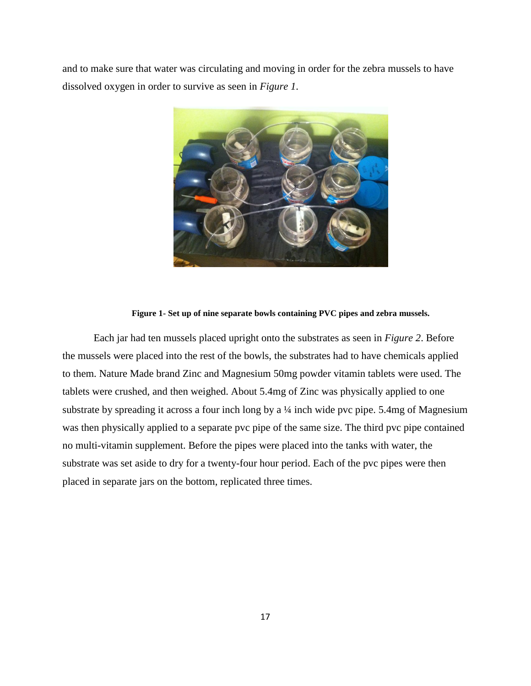and to make sure that water was circulating and moving in order for the zebra mussels to have dissolved oxygen in order to survive as seen in *Figure 1*.



#### **Figure 1- Set up of nine separate bowls containing PVC pipes and zebra mussels.**

Each jar had ten mussels placed upright onto the substrates as seen in *Figure 2*. Before the mussels were placed into the rest of the bowls, the substrates had to have chemicals applied to them. Nature Made brand Zinc and Magnesium 50mg powder vitamin tablets were used. The tablets were crushed, and then weighed. About 5.4mg of Zinc was physically applied to one substrate by spreading it across a four inch long by a  $\frac{1}{4}$  inch wide pvc pipe. 5.4mg of Magnesium was then physically applied to a separate pvc pipe of the same size. The third pvc pipe contained no multi-vitamin supplement. Before the pipes were placed into the tanks with water, the substrate was set aside to dry for a twenty-four hour period. Each of the pvc pipes were then placed in separate jars on the bottom, replicated three times.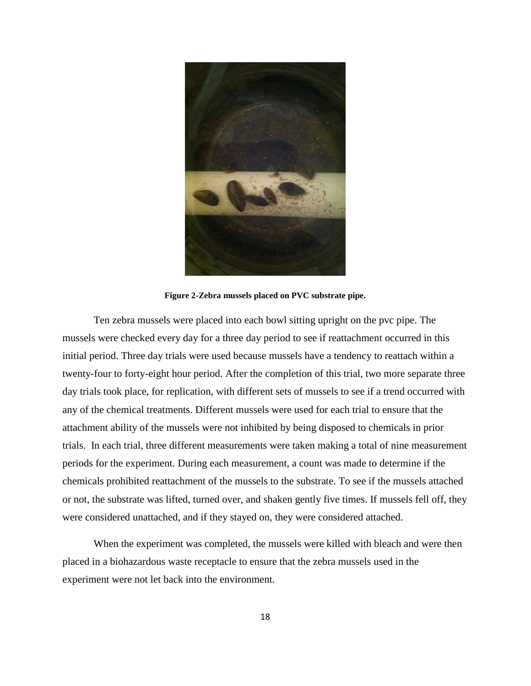

**Figure 2-Zebra mussels placed on PVC substrate pipe.**

Ten zebra mussels were placed into each bowl sitting upright on the pvc pipe. The mussels were checked every day for a three day period to see if reattachment occurred in this initial period. Three day trials were used because mussels have a tendency to reattach within a twenty-four to forty-eight hour period. After the completion of this trial, two more separate three day trials took place, for replication, with different sets of mussels to see if a trend occurred with any of the chemical treatments. Different mussels were used for each trial to ensure that the attachment ability of the mussels were not inhibited by being disposed to chemicals in prior trials. In each trial, three different measurements were taken making a total of nine measurement periods for the experiment. During each measurement, a count was made to determine if the chemicals prohibited reattachment of the mussels to the substrate. To see if the mussels attached or not, the substrate was lifted, turned over, and shaken gently five times. If mussels fell off, they were considered unattached, and if they stayed on, they were considered attached.

When the experiment was completed, the mussels were killed with bleach and were then placed in a biohazardous waste receptacle to ensure that the zebra mussels used in the experiment were not let back into the environment.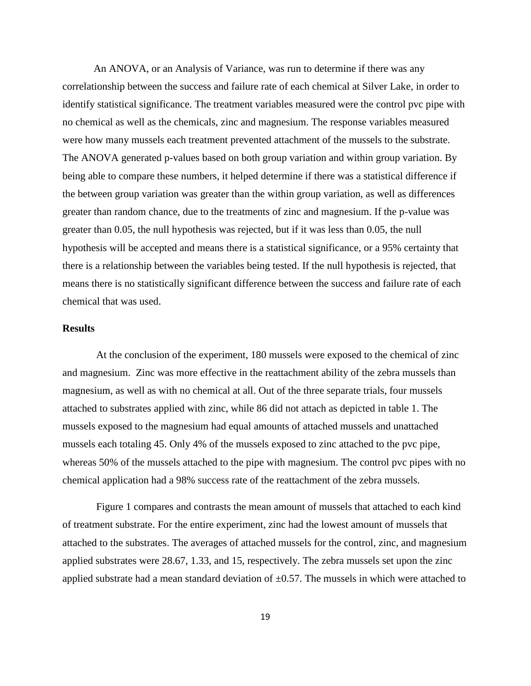An ANOVA, or an Analysis of Variance, was run to determine if there was any correlationship between the success and failure rate of each chemical at Silver Lake, in order to identify statistical significance. The treatment variables measured were the control pvc pipe with no chemical as well as the chemicals, zinc and magnesium. The response variables measured were how many mussels each treatment prevented attachment of the mussels to the substrate. The ANOVA generated p-values based on both group variation and within group variation. By being able to compare these numbers, it helped determine if there was a statistical difference if the between group variation was greater than the within group variation, as well as differences greater than random chance, due to the treatments of zinc and magnesium. If the p-value was greater than 0.05, the null hypothesis was rejected, but if it was less than 0.05, the null hypothesis will be accepted and means there is a statistical significance, or a 95% certainty that there is a relationship between the variables being tested. If the null hypothesis is rejected, that means there is no statistically significant difference between the success and failure rate of each chemical that was used.

### **Results**

At the conclusion of the experiment, 180 mussels were exposed to the chemical of zinc and magnesium. Zinc was more effective in the reattachment ability of the zebra mussels than magnesium, as well as with no chemical at all. Out of the three separate trials, four mussels attached to substrates applied with zinc, while 86 did not attach as depicted in table 1. The mussels exposed to the magnesium had equal amounts of attached mussels and unattached mussels each totaling 45. Only 4% of the mussels exposed to zinc attached to the pvc pipe, whereas 50% of the mussels attached to the pipe with magnesium. The control pvc pipes with no chemical application had a 98% success rate of the reattachment of the zebra mussels.

Figure 1 compares and contrasts the mean amount of mussels that attached to each kind of treatment substrate. For the entire experiment, zinc had the lowest amount of mussels that attached to the substrates. The averages of attached mussels for the control, zinc, and magnesium applied substrates were 28.67, 1.33, and 15, respectively. The zebra mussels set upon the zinc applied substrate had a mean standard deviation of  $\pm 0.57$ . The mussels in which were attached to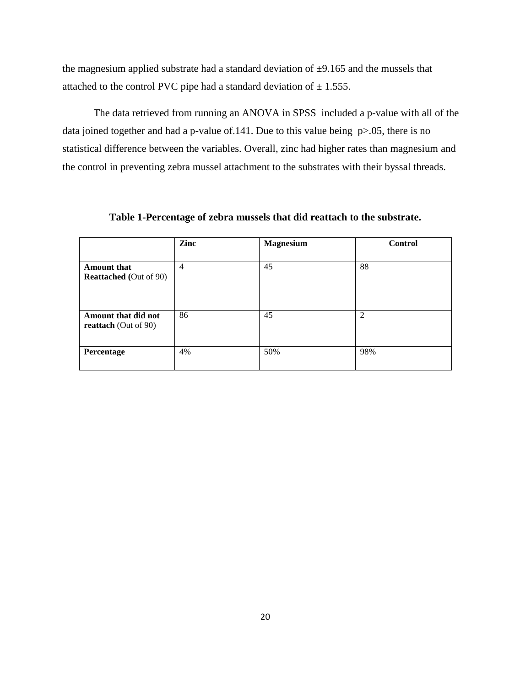the magnesium applied substrate had a standard deviation of  $\pm$ 9.165 and the mussels that attached to the control PVC pipe had a standard deviation of  $\pm$  1.555.

The data retrieved from running an ANOVA in SPSS included a p-value with all of the data joined together and had a p-value of 141. Due to this value being p > 05, there is no statistical difference between the variables. Overall, zinc had higher rates than magnesium and the control in preventing zebra mussel attachment to the substrates with their byssal threads.

|                                                     | Zinc           | <b>Magnesium</b> | <b>Control</b> |
|-----------------------------------------------------|----------------|------------------|----------------|
| <b>Amount that</b><br><b>Reattached</b> (Out of 90) | $\overline{4}$ | 45               | 88             |
| Amount that did not<br><b>reattach</b> (Out of 90)  | 86             | 45               | 2              |
| Percentage                                          | 4%             | 50%              | 98%            |

**Table 1-Percentage of zebra mussels that did reattach to the substrate.**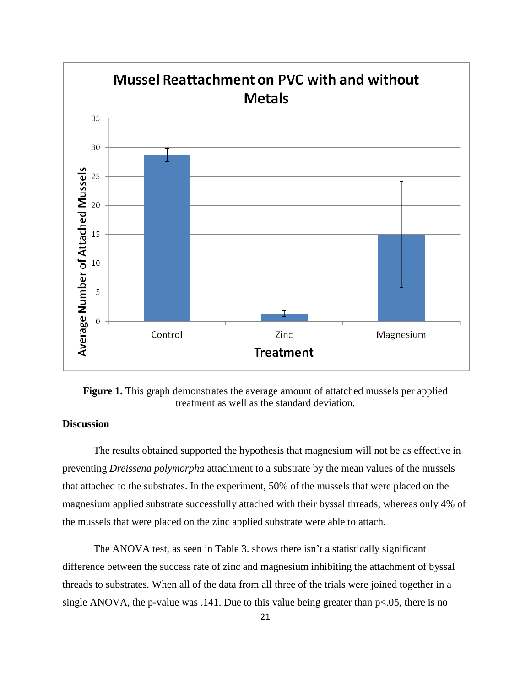

**Figure 1.** This graph demonstrates the average amount of attatched mussels per applied treatment as well as the standard deviation.

## **Discussion**

The results obtained supported the hypothesis that magnesium will not be as effective in preventing *Dreissena polymorpha* attachment to a substrate by the mean values of the mussels that attached to the substrates. In the experiment, 50% of the mussels that were placed on the magnesium applied substrate successfully attached with their byssal threads, whereas only 4% of the mussels that were placed on the zinc applied substrate were able to attach.

The ANOVA test, as seen in Table 3. shows there isn't a statistically significant difference between the success rate of zinc and magnesium inhibiting the attachment of byssal threads to substrates. When all of the data from all three of the trials were joined together in a single ANOVA, the p-value was .141. Due to this value being greater than  $p<0.05$ , there is no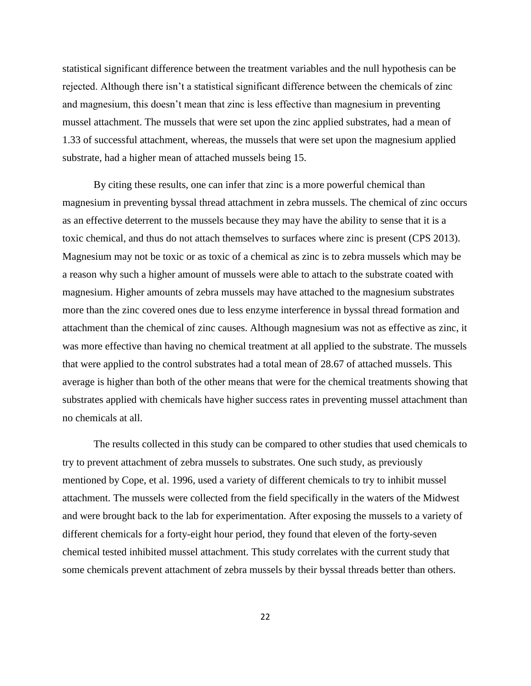statistical significant difference between the treatment variables and the null hypothesis can be rejected. Although there isn't a statistical significant difference between the chemicals of zinc and magnesium, this doesn't mean that zinc is less effective than magnesium in preventing mussel attachment. The mussels that were set upon the zinc applied substrates, had a mean of 1.33 of successful attachment, whereas, the mussels that were set upon the magnesium applied substrate, had a higher mean of attached mussels being 15.

By citing these results, one can infer that zinc is a more powerful chemical than magnesium in preventing byssal thread attachment in zebra mussels. The chemical of zinc occurs as an effective deterrent to the mussels because they may have the ability to sense that it is a toxic chemical, and thus do not attach themselves to surfaces where zinc is present (CPS 2013). Magnesium may not be toxic or as toxic of a chemical as zinc is to zebra mussels which may be a reason why such a higher amount of mussels were able to attach to the substrate coated with magnesium. Higher amounts of zebra mussels may have attached to the magnesium substrates more than the zinc covered ones due to less enzyme interference in byssal thread formation and attachment than the chemical of zinc causes. Although magnesium was not as effective as zinc, it was more effective than having no chemical treatment at all applied to the substrate. The mussels that were applied to the control substrates had a total mean of 28.67 of attached mussels. This average is higher than both of the other means that were for the chemical treatments showing that substrates applied with chemicals have higher success rates in preventing mussel attachment than no chemicals at all.

The results collected in this study can be compared to other studies that used chemicals to try to prevent attachment of zebra mussels to substrates. One such study, as previously mentioned by Cope, et al. 1996, used a variety of different chemicals to try to inhibit mussel attachment. The mussels were collected from the field specifically in the waters of the Midwest and were brought back to the lab for experimentation. After exposing the mussels to a variety of different chemicals for a forty-eight hour period, they found that eleven of the forty-seven chemical tested inhibited mussel attachment. This study correlates with the current study that some chemicals prevent attachment of zebra mussels by their byssal threads better than others.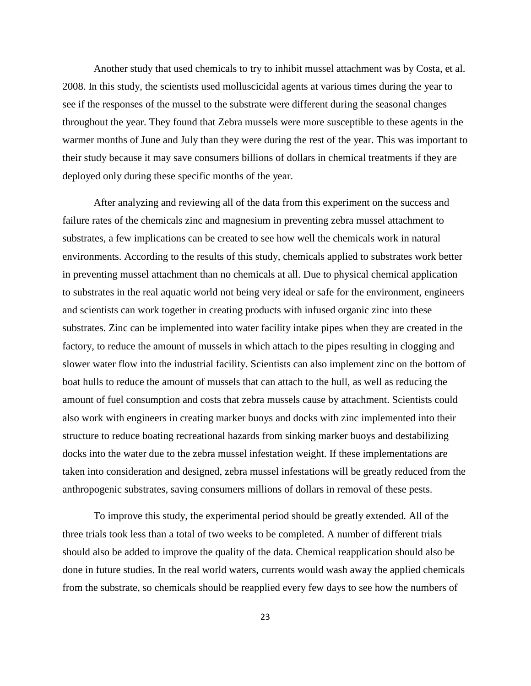Another study that used chemicals to try to inhibit mussel attachment was by Costa, et al. 2008. In this study, the scientists used molluscicidal agents at various times during the year to see if the responses of the mussel to the substrate were different during the seasonal changes throughout the year. They found that Zebra mussels were more susceptible to these agents in the warmer months of June and July than they were during the rest of the year. This was important to their study because it may save consumers billions of dollars in chemical treatments if they are deployed only during these specific months of the year.

After analyzing and reviewing all of the data from this experiment on the success and failure rates of the chemicals zinc and magnesium in preventing zebra mussel attachment to substrates, a few implications can be created to see how well the chemicals work in natural environments. According to the results of this study, chemicals applied to substrates work better in preventing mussel attachment than no chemicals at all. Due to physical chemical application to substrates in the real aquatic world not being very ideal or safe for the environment, engineers and scientists can work together in creating products with infused organic zinc into these substrates. Zinc can be implemented into water facility intake pipes when they are created in the factory, to reduce the amount of mussels in which attach to the pipes resulting in clogging and slower water flow into the industrial facility. Scientists can also implement zinc on the bottom of boat hulls to reduce the amount of mussels that can attach to the hull, as well as reducing the amount of fuel consumption and costs that zebra mussels cause by attachment. Scientists could also work with engineers in creating marker buoys and docks with zinc implemented into their structure to reduce boating recreational hazards from sinking marker buoys and destabilizing docks into the water due to the zebra mussel infestation weight. If these implementations are taken into consideration and designed, zebra mussel infestations will be greatly reduced from the anthropogenic substrates, saving consumers millions of dollars in removal of these pests.

To improve this study, the experimental period should be greatly extended. All of the three trials took less than a total of two weeks to be completed. A number of different trials should also be added to improve the quality of the data. Chemical reapplication should also be done in future studies. In the real world waters, currents would wash away the applied chemicals from the substrate, so chemicals should be reapplied every few days to see how the numbers of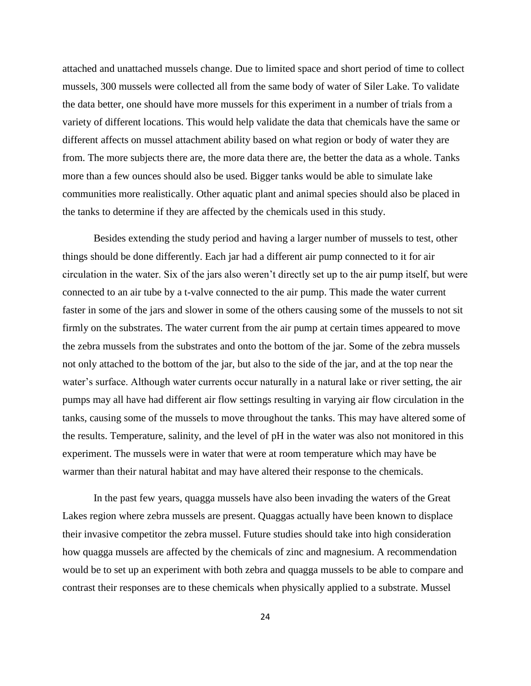attached and unattached mussels change. Due to limited space and short period of time to collect mussels, 300 mussels were collected all from the same body of water of Siler Lake. To validate the data better, one should have more mussels for this experiment in a number of trials from a variety of different locations. This would help validate the data that chemicals have the same or different affects on mussel attachment ability based on what region or body of water they are from. The more subjects there are, the more data there are, the better the data as a whole. Tanks more than a few ounces should also be used. Bigger tanks would be able to simulate lake communities more realistically. Other aquatic plant and animal species should also be placed in the tanks to determine if they are affected by the chemicals used in this study.

Besides extending the study period and having a larger number of mussels to test, other things should be done differently. Each jar had a different air pump connected to it for air circulation in the water. Six of the jars also weren't directly set up to the air pump itself, but were connected to an air tube by a t-valve connected to the air pump. This made the water current faster in some of the jars and slower in some of the others causing some of the mussels to not sit firmly on the substrates. The water current from the air pump at certain times appeared to move the zebra mussels from the substrates and onto the bottom of the jar. Some of the zebra mussels not only attached to the bottom of the jar, but also to the side of the jar, and at the top near the water's surface. Although water currents occur naturally in a natural lake or river setting, the air pumps may all have had different air flow settings resulting in varying air flow circulation in the tanks, causing some of the mussels to move throughout the tanks. This may have altered some of the results. Temperature, salinity, and the level of pH in the water was also not monitored in this experiment. The mussels were in water that were at room temperature which may have be warmer than their natural habitat and may have altered their response to the chemicals.

In the past few years, quagga mussels have also been invading the waters of the Great Lakes region where zebra mussels are present. Quaggas actually have been known to displace their invasive competitor the zebra mussel. Future studies should take into high consideration how quagga mussels are affected by the chemicals of zinc and magnesium. A recommendation would be to set up an experiment with both zebra and quagga mussels to be able to compare and contrast their responses are to these chemicals when physically applied to a substrate. Mussel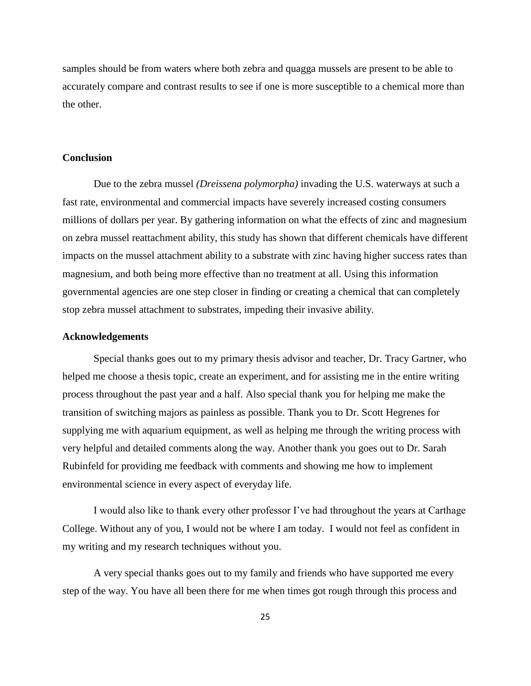samples should be from waters where both zebra and quagga mussels are present to be able to accurately compare and contrast results to see if one is more susceptible to a chemical more than the other.

#### **Conclusion**

Due to the zebra mussel *(Dreissena polymorpha)* invading the U.S. waterways at such a fast rate, environmental and commercial impacts have severely increased costing consumers millions of dollars per year. By gathering information on what the effects of zinc and magnesium on zebra mussel reattachment ability, this study has shown that different chemicals have different impacts on the mussel attachment ability to a substrate with zinc having higher success rates than magnesium, and both being more effective than no treatment at all. Using this information governmental agencies are one step closer in finding or creating a chemical that can completely stop zebra mussel attachment to substrates, impeding their invasive ability.

#### **Acknowledgements**

Special thanks goes out to my primary thesis advisor and teacher, Dr. Tracy Gartner, who helped me choose a thesis topic, create an experiment, and for assisting me in the entire writing process throughout the past year and a half. Also special thank you for helping me make the transition of switching majors as painless as possible. Thank you to Dr. Scott Hegrenes for supplying me with aquarium equipment, as well as helping me through the writing process with very helpful and detailed comments along the way. Another thank you goes out to Dr. Sarah Rubinfeld for providing me feedback with comments and showing me how to implement environmental science in every aspect of everyday life.

I would also like to thank every other professor I've had throughout the years at Carthage College. Without any of you, I would not be where I am today. I would not feel as confident in my writing and my research techniques without you.

A very special thanks goes out to my family and friends who have supported me every step of the way. You have all been there for me when times got rough through this process and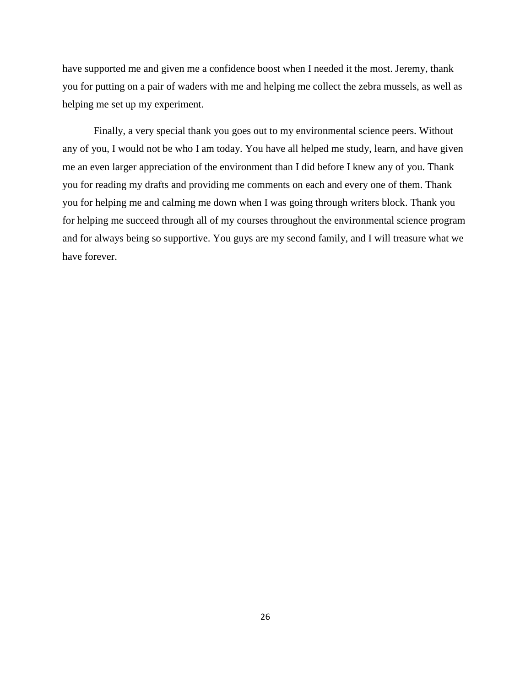have supported me and given me a confidence boost when I needed it the most. Jeremy, thank you for putting on a pair of waders with me and helping me collect the zebra mussels, as well as helping me set up my experiment.

Finally, a very special thank you goes out to my environmental science peers. Without any of you, I would not be who I am today. You have all helped me study, learn, and have given me an even larger appreciation of the environment than I did before I knew any of you. Thank you for reading my drafts and providing me comments on each and every one of them. Thank you for helping me and calming me down when I was going through writers block. Thank you for helping me succeed through all of my courses throughout the environmental science program and for always being so supportive. You guys are my second family, and I will treasure what we have forever.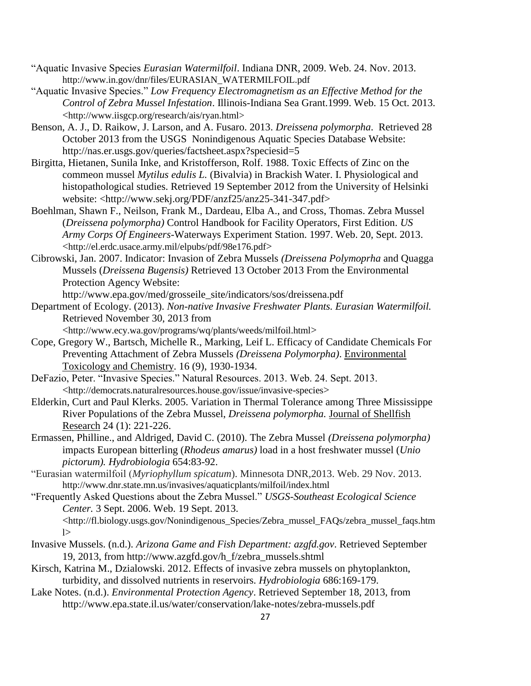- "Aquatic Invasive Species *Eurasian Watermilfoil*. Indiana DNR, 2009. Web. 24. Nov. 2013. http://www.in.gov/dnr/files/EURASIAN\_WATERMILFOIL.pdf
- "Aquatic Invasive Species." *Low Frequency Electromagnetism as an Effective Method for the Control of Zebra Mussel Infestation*. Illinois-Indiana Sea Grant.1999. Web. 15 Oct. 2013. <http://www.iisgcp.org/research/ais/ryan.html>
- Benson, A. J., D. Raikow, J. Larson, and A. Fusaro. 2013. *Dreissena polymorpha*. Retrieved 28 October 2013 from the USGS Nonindigenous Aquatic Species Database Website: http://nas.er.usgs.gov/queries/factsheet.aspx?speciesid=5
- Birgitta, Hietanen, Sunila Inke, and Kristofferson, Rolf. 1988. Toxic Effects of Zinc on the commeon mussel *Mytilus edulis L.* (Bivalvia) in Brackish Water. I. Physiological and histopathological studies. Retrieved 19 September 2012 from the University of Helsinki website: <http://www.sekj.org/PDF/anzf25/anz25-341-347.pdf>
- Boehlman, Shawn F., Neilson, Frank M., Dardeau, Elba A., and Cross, Thomas. Zebra Mussel (*Dreissena polymorpha)* Control Handbook for Facility Operators, First Edition. *US Army Corps Of Engineers*-Waterways Experiment Station. 1997. Web. 20, Sept. 2013. <http://el.erdc.usace.army.mil/elpubs/pdf/98e176.pdf>
- Cibrowski, Jan. 2007. Indicator: Invasion of Zebra Mussels *(Dreissena Polymoprha* and Quagga Mussels (*Dreissena Bugensis)* Retrieved 13 October 2013 From the Environmental Protection Agency Website:

http://www.epa.gov/med/grosseile\_site/indicators/sos/dreissena.pdf

Department of Ecology. (2013). *Non-native Invasive Freshwater Plants. Eurasian Watermilfoil.* Retrieved November 30, 2013 from

<http://www.ecy.wa.gov/programs/wq/plants/weeds/milfoil.html>

- Cope, Gregory W., Bartsch, Michelle R., Marking, Leif L. Efficacy of Candidate Chemicals For Preventing Attachment of Zebra Mussels *(Dreissena Polymorpha)*. Environmental Toxicology and Chemistry. 16 (9), 1930-1934.
- DeFazio, Peter. "Invasive Species." Natural Resources. 2013. Web. 24. Sept. 2013. <http://democrats.naturalresources.house.gov/issue/invasive-species>
- Elderkin, Curt and Paul Klerks. 2005. Variation in Thermal Tolerance among Three Mississippe River Populations of the Zebra Mussel, *Dreissena polymorpha.* Journal of Shellfish Research 24 (1): 221-226.
- Ermassen, Philline., and Aldriged, David C. (2010). The Zebra Mussel *(Dreissena polymorpha)*  impacts European bitterling (*Rhodeus amarus)* load in a host freshwater mussel (*Unio pictorum). Hydrobiologia* 654:83-92.
- "Eurasian watermilfoil (*Myriophyllum spicatum*). Minnesota DNR,2013. Web. 29 Nov. 2013. http://www.dnr.state.mn.us/invasives/aquaticplants/milfoil/index.html
- "Frequently Asked Questions about the Zebra Mussel." *USGS-Southeast Ecological Science Center.* 3 Sept. 2006. Web. 19 Sept. 2013.

<http://fl.biology.usgs.gov/Nonindigenous\_Species/Zebra\_mussel\_FAQs/zebra\_mussel\_faqs.htm  $\geq$ 

- Invasive Mussels. (n.d.). *Arizona Game and Fish Department: azgfd.gov*. Retrieved September 19, 2013, from http://www.azgfd.gov/h\_f/zebra\_mussels.shtml
- Kirsch, Katrina M., Dzialowski. 2012. Effects of invasive zebra mussels on phytoplankton, turbidity, and dissolved nutrients in reservoirs. *Hydrobiologia* 686:169-179.
- Lake Notes. (n.d.). *Environmental Protection Agency*. Retrieved September 18, 2013, from http://www.epa.state.il.us/water/conservation/lake-notes/zebra-mussels.pdf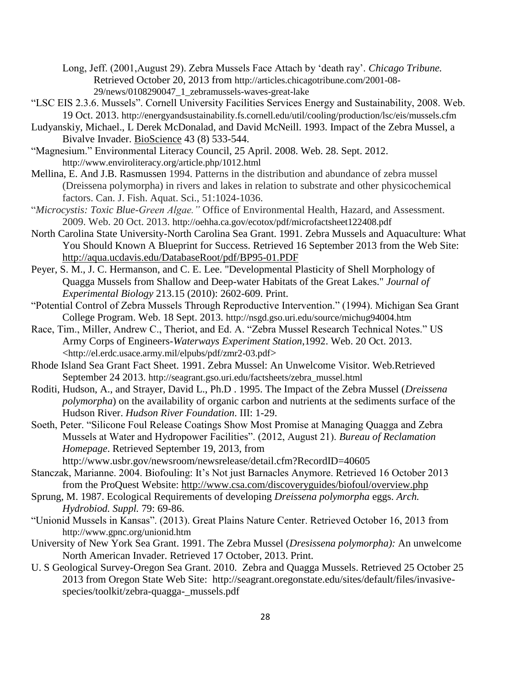- Long, Jeff. (2001,August 29). Zebra Mussels Face Attach by 'death ray'. *Chicago Tribune.*  Retrieved October 20, 2013 from http://articles.chicagotribune.com/2001-08- 29/news/0108290047\_1\_zebramussels-waves-great-lake
- "LSC EIS 2.3.6. Mussels". Cornell University Facilities Services Energy and Sustainability, 2008. Web. 19 Oct. 2013. http://energyandsustainability.fs.cornell.edu/util/cooling/production/lsc/eis/mussels.cfm
- Ludyanskiy, Michael., L Derek McDonalad, and David McNeill. 1993. Impact of the Zebra Mussel, a Bivalve Invader. BioScience 43 (8) 533-544.
- "Magnesium." Environmental Literacy Council, 25 April. 2008. Web. 28. Sept. 2012. http://www.enviroliteracy.org/article.php/1012.html
- Mellina, E. And J.B. Rasmussen 1994. Patterns in the distribution and abundance of zebra mussel (Dreissena polymorpha) in rivers and lakes in relation to substrate and other physicochemical factors. Can. J. Fish. Aquat. Sci., 51:1024-1036.
- "*Microcystis: Toxic Blue-Green Algae."* Office of Environmental Health, Hazard, and Assessment. 2009. Web. 20 Oct. 2013. http://oehha.ca.gov/ecotox/pdf/microfactsheet122408.pdf
- North Carolina State University-North Carolina Sea Grant. 1991. Zebra Mussels and Aquaculture: What You Should Known A Blueprint for Success. Retrieved 16 September 2013 from the Web Site: http://aqua.ucdavis.edu/DatabaseRoot/pdf/BP95-01.PDF
- Peyer, S. M., J. C. Hermanson, and C. E. Lee. "Developmental Plasticity of Shell Morphology of Quagga Mussels from Shallow and Deep-water Habitats of the Great Lakes." *Journal of Experimental Biology* 213.15 (2010): 2602-609. Print.
- "Potential Control of Zebra Mussels Through Reproductive Intervention." (1994). Michigan Sea Grant College Program. Web. 18 Sept. 2013. http://nsgd.gso.uri.edu/source/michug94004.htm
- Race, Tim., Miller, Andrew C., Theriot, and Ed. A. "Zebra Mussel Research Technical Notes." US Army Corps of Engineers-*Waterways Experiment Station*,1992. Web. 20 Oct. 2013. <http://el.erdc.usace.army.mil/elpubs/pdf/zmr2-03.pdf>
- Rhode Island Sea Grant Fact Sheet. 1991. Zebra Mussel: An Unwelcome Visitor. Web.Retrieved September 24 2013. http://seagrant.gso.uri.edu/factsheets/zebra\_mussel.html
- Roditi, Hudson, A., and Strayer, David L., Ph.D . 1995. The Impact of the Zebra Mussel (*Dreissena polymorpha*) on the availability of organic carbon and nutrients at the sediments surface of the Hudson River. *Hudson River Foundation*. III: 1-29.
- Soeth, Peter. "Silicone Foul Release Coatings Show Most Promise at Managing Quagga and Zebra Mussels at Water and Hydropower Facilities". (2012, August 21). *Bureau of Reclamation Homepage*. Retrieved September 19, 2013, from

http://www.usbr.gov/newsroom/newsrelease/detail.cfm?RecordID=40605

- Stanczak, Marianne. 2004. Biofouling: It's Not just Barnacles Anymore. Retrieved 16 October 2013 from the ProQuest Website: http://www.csa.com/discoveryguides/biofoul/overview.php
- Sprung, M. 1987. Ecological Requirements of developing *Dreissena polymorpha* eggs. *Arch. Hydrobiod. Suppl.* 79: 69-86.
- "Unionid Mussels in Kansas". (2013). Great Plains Nature Center. Retrieved October 16, 2013 from http://www.gpnc.org/unionid.htm
- University of New York Sea Grant. 1991. The Zebra Mussel (*Dresissena polymorpha):* An unwelcome North American Invader. Retrieved 17 October, 2013. Print.
- U. S Geological Survey-Oregon Sea Grant. 2010. Zebra and Quagga Mussels. Retrieved 25 October 25 2013 from Oregon State Web Site: http://seagrant.oregonstate.edu/sites/default/files/invasivespecies/toolkit/zebra-quagga-\_mussels.pdf